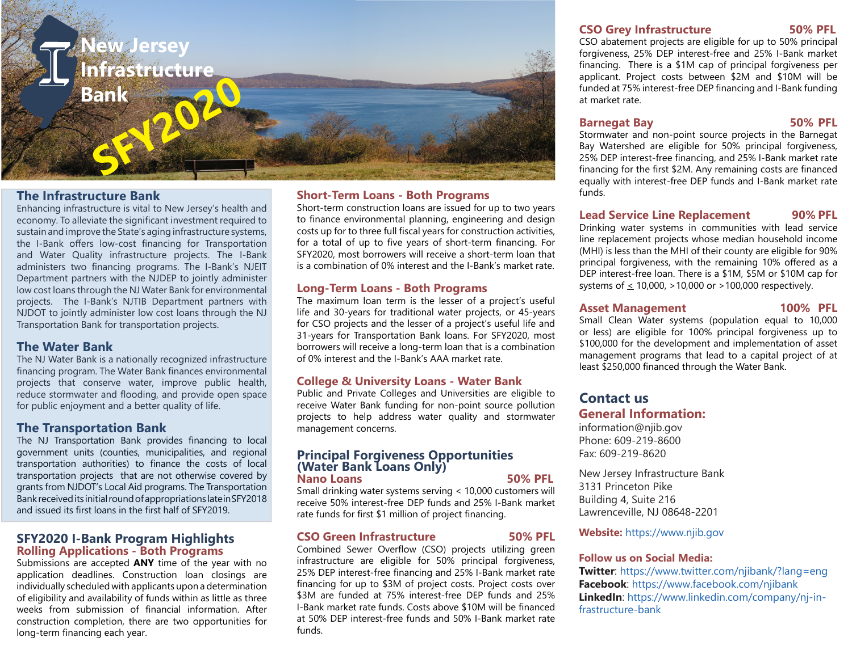

# **The Infrastructure Bank**

Enhancing infrastructure is vital to New Jersey's health and economy. To alleviate the significant investment required to sustain and improve the State's aging infrastructure systems, the I-Bank offers low-cost financing for Transportation and Water Quality infrastructure projects. The I-Bank administers two financing programs. The I-Bank's NJEIT Department partners with the NJDEP to jointly administer low cost loans through the NJ Water Bank for environmental projects. The I-Bank's NJTIB Department partners with NJDOT to jointly administer low cost loans through the NJ Transportation Bank for transportation projects.

## **The Water Bank**

The NJ Water Bank is a nationally recognized infrastructure financing program. The Water Bank finances environmental projects that conserve water, improve public health, reduce stormwater and flooding, and provide open space for public enjoyment and a better quality of life.

# **The Transportation Bank**

The NJ Transportation Bank provides financing to local government units (counties, municipalities, and regional transportation authorities) to finance the costs of local transportation projects that are not otherwise covered by grants from NJDOT's Local Aid programs. The Transportation Bank received its initial round of appropriations late in SFY2018 and issued its first loans in the first half of SFY2019.

## **SFY2020 I-Bank Program Highlights Rolling Applications - Both Programs**

Submissions are accepted **ANY** time of the year with no application deadlines. Construction loan closings are individually scheduled with applicants upon a determination of eligibility and availability of funds within as little as three weeks from submission of financial information. After construction completion, there are two opportunities for long-term financing each year.

## **Short-Term Loans - Both Programs**

Short-term construction loans are issued for up to two years to finance environmental planning, engineering and design costs up for to three full fiscal years for construction activities, for a total of up to five years of short-term financing. For SFY2020, most borrowers will receive a short-term loan that is a combination of 0% interest and the I-Bank's market rate.

### **Long-Term Loans - Both Programs**

The maximum loan term is the lesser of a project's useful life and 30-years for traditional water projects, or 45-years for CSO projects and the lesser of a project's useful life and 31-years for Transportation Bank loans. For SFY2020, most borrowers will receive a long-term loan that is a combination of 0% interest and the I-Bank's AAA market rate.

### **College & University Loans - Water Bank**

Public and Private Colleges and Universities are eligible to receive Water Bank funding for non-point source pollution projects to help address water quality and stormwater management concerns.

#### **Principal Forgiveness Opportunities (Water Bank Loans Only) Nano Loans 50% PFL**

Small drinking water systems serving < 10,000 customers will receive 50% interest-free DEP funds and 25% I-Bank market rate funds for first \$1 million of project financing.

### **CSO Green Infrastructure 50% PFL**

Combined Sewer Overflow (CSO) projects utilizing green infrastructure are eligible for 50% principal forgiveness, 25% DEP interest-free financing and 25% I-Bank market rate financing for up to \$3M of project costs. Project costs over \$3M are funded at 75% interest-free DEP funds and 25% I-Bank market rate funds. Costs above \$10M will be financed at 50% DEP interest-free funds and 50% I-Bank market rate funds.

#### **CSO Grey Infrastructure 50% PFL**

CSO abatement projects are eligible for up to 50% principal forgiveness, 25% DEP interest-free and 25% I-Bank market financing. There is a \$1M cap of principal forgiveness per applicant. Project costs between \$2M and \$10M will be funded at 75% interest-free DEP financing and I-Bank funding at market rate.

## **Barnegat Bay 50% PFL**

Stormwater and non-point source projects in the Barnegat Bay Watershed are eligible for 50% principal forgiveness, 25% DEP interest-free financing, and 25% I-Bank market rate financing for the first \$2M. Any remaining costs are financed equally with interest-free DEP funds and I-Bank market rate funds.

# **Lead Service Line Replacement 90% PFL**

Drinking water systems in communities with lead service line replacement projects whose median household income (MHI) is less than the MHI of their county are eligible for 90% principal forgiveness, with the remaining 10% offered as a DEP interest-free loan. There is a \$1M, \$5M or \$10M cap for systems of  $\leq 10,000$ ,  $>10,000$  or  $>100,000$  respectively.

### Asset Management 100% PFL

Small Clean Water systems (population equal to 10,000 or less) are eligible for 100% principal forgiveness up to \$100,000 for the development and implementation of asset management programs that lead to a capital project of at least \$250,000 financed through the Water Bank.

# **Contact us General Information:**

information@njib.gov Phone: 609-219-8600 Fax: 609-219-8620

New Jersey Infrastructure Bank 3131 Princeton Pike Building 4, Suite 216 Lawrenceville, NJ 08648-2201

## **Website:** https://www.njib.gov

#### **Follow us on Social Media:**

**Twitter**: https://www.twitter.com/njibank/?lang=eng **Facebook**: https://www.facebook.com/njibank **LinkedIn**: https://www.linkedin.com/company/nj-infrastructure-bank